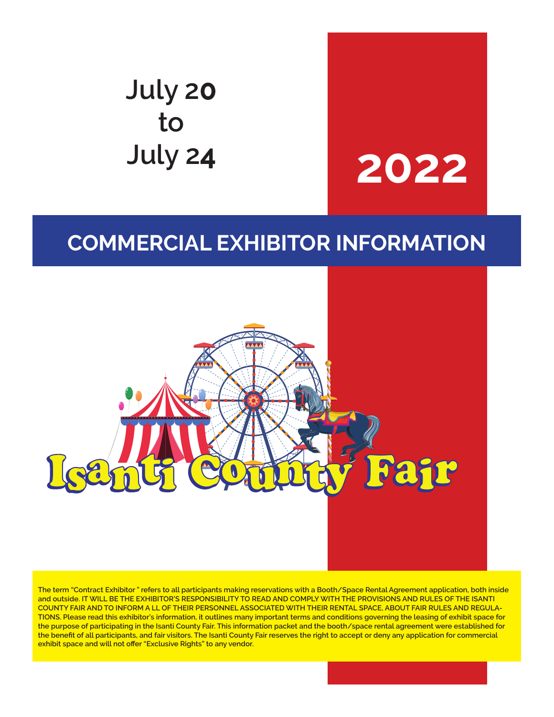# **July 20 to July 2<sup>4</sup> 2022**

# **COMMERCIAL EXHIBITOR INFORMATION**



**The term "Contract Exhibitor " refers to all participants making reservations with a Booth/Space Rental Agreement application, both inside and outside. IT WILL BE THE EXHIBITOR'S RESPONSIBILITY TO READ AND COMPLY WITH THE PROVISIONS AND RULES OF THE ISANTI COUNTY FAIR AND TO INFORM A LL OF THEIR PERSONNEL ASSOCIATED WITH THEIR RENTAL SPACE, ABOUT FAIR RULES AND REGULA-TIONS. Please read this exhibitor's information, it outlines many important terms and conditions governing the leasing of exhibit space for the purpose of participating in the Isanti County Fair. This information packet and the booth/space rental agreement were established for the benefit of all participants, and fair visitors. The Isanti County Fair reserves the right to accept or deny any application for commercial exhibit space and will not offer "Exclusive Rights" to any vendor.**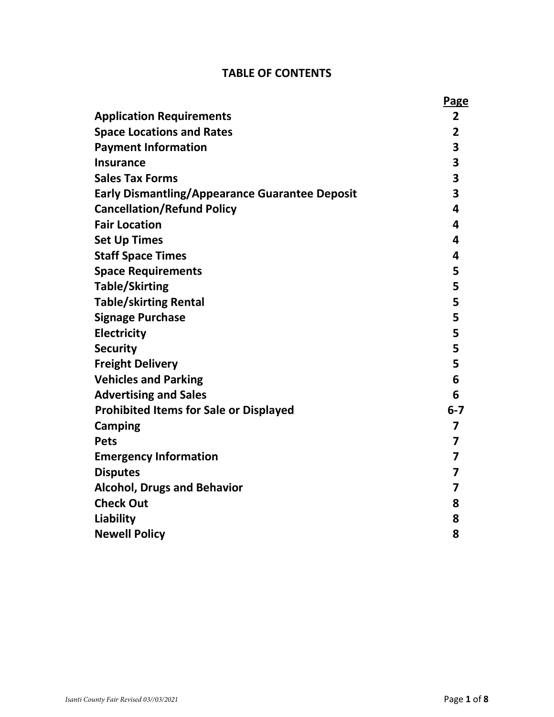# **TABLE OF CONTENTS**

|                                                       | <b>Page</b>             |
|-------------------------------------------------------|-------------------------|
| <b>Application Requirements</b>                       | $\overline{2}$          |
| <b>Space Locations and Rates</b>                      | $\overline{2}$          |
| <b>Payment Information</b>                            | 3                       |
| <b>Insurance</b>                                      | 3                       |
| <b>Sales Tax Forms</b>                                | 3                       |
| <b>Early Dismantling/Appearance Guarantee Deposit</b> | 3                       |
| <b>Cancellation/Refund Policy</b>                     | 4                       |
| <b>Fair Location</b>                                  | 4                       |
| <b>Set Up Times</b>                                   | $\overline{\mathbf{a}}$ |
| <b>Staff Space Times</b>                              | 4                       |
| <b>Space Requirements</b>                             | 5                       |
| <b>Table/Skirting</b>                                 | 5                       |
| <b>Table/skirting Rental</b>                          | 5                       |
| <b>Signage Purchase</b>                               | 5                       |
| <b>Electricity</b>                                    | 5                       |
| <b>Security</b>                                       | 5                       |
| <b>Freight Delivery</b>                               | 5                       |
| <b>Vehicles and Parking</b>                           | 6                       |
| <b>Advertising and Sales</b>                          | 6                       |
| <b>Prohibited Items for Sale or Displayed</b>         | $6 - 7$                 |
| Camping                                               | 7                       |
| <b>Pets</b>                                           | 7                       |
| <b>Emergency Information</b>                          | 7                       |
| <b>Disputes</b>                                       | 7                       |
| <b>Alcohol, Drugs and Behavior</b>                    | 7                       |
| <b>Check Out</b>                                      | 8                       |
| Liability                                             | 8                       |
| <b>Newell Policy</b>                                  | 8                       |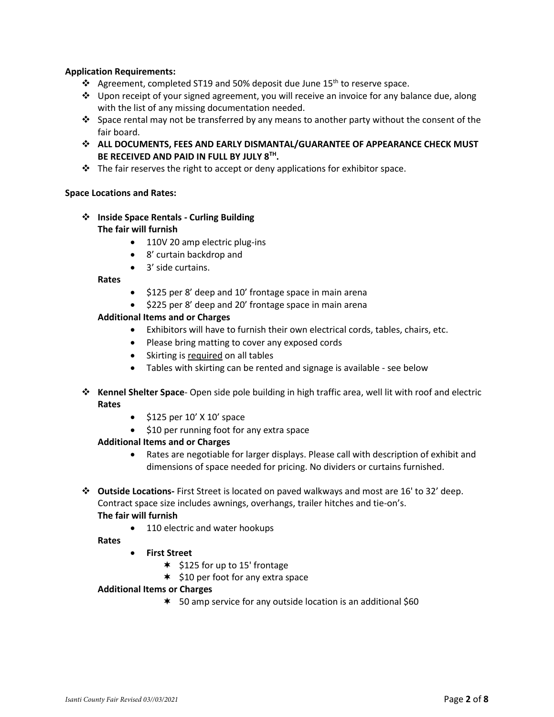#### **Application Requirements:**

- ❖ Agreement, completed ST19 and 50% deposit due June 15<sup>th</sup> to reserve space.
- ❖ Upon receipt of your signed agreement, you will receive an invoice for any balance due, along with the list of any missing documentation needed.
- ❖ Space rental may not be transferred by any means to another party without the consent of the fair board.
- ❖ **ALL DOCUMENTS, FEES AND EARLY DISMANTAL/GUARANTEE OF APPEARANCE CHECK MUST BE RECEIVED AND PAID IN FULL BY JULY 8TH .**
- ❖ The fair reserves the right to accept or deny applications for exhibitor space.

#### **Space Locations and Rates:**

- ❖ **Inside Space Rentals - Curling Building The fair will furnish**
	- 110V 20 amp electric plug-ins
	- 8' curtain backdrop and
	- 3' side curtains.

**Rates**

- \$125 per 8' deep and 10' frontage space in main arena
- \$225 per 8' deep and 20' frontage space in main arena

#### **Additional Items and or Charges**

- Exhibitors will have to furnish their own electrical cords, tables, chairs, etc.
- Please bring matting to cover any exposed cords
- Skirting is required on all tables
- Tables with skirting can be rented and signage is available see below
- ❖ **Kennel Shelter Space** Open side pole building in high traffic area, well lit with roof and electric **Rates**
	- \$125 per 10' X 10' space
	- \$10 per running foot for any extra space

#### **Additional Items and or Charges**

- Rates are negotiable for larger displays. Please call with description of exhibit and dimensions of space needed for pricing. No dividers or curtains furnished.
- ❖ **Outside Locations-** First Street is located on paved walkways and most are 16' to 32' deep. Contract space size includes awnings, overhangs, trailer hitches and tie-on's. **The fair will furnish**
	- 110 electric and water hookups

**Rates**

- **First Street**
	- $*$  \$125 for up to 15' frontage
	- $*$  \$10 per foot for any extra space

#### **Additional Items or Charges**

\* 50 amp service for any outside location is an additional \$60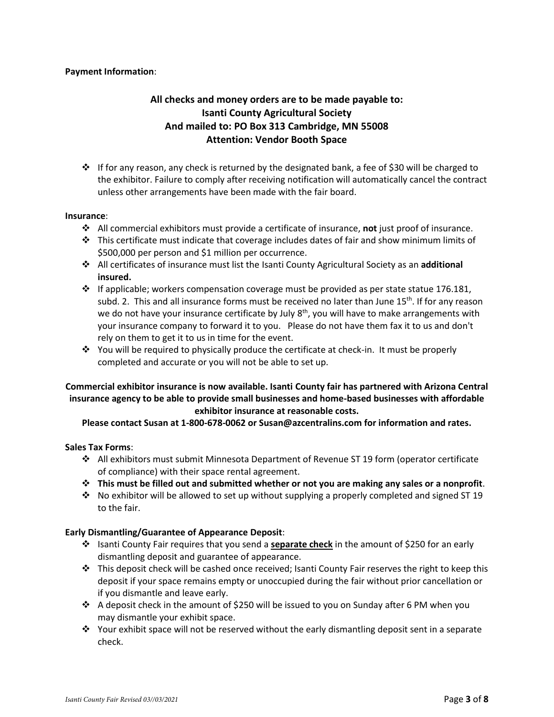#### **Payment Information**:

### **All checks and money orders are to be made payable to: Isanti County Agricultural Society And mailed to: PO Box 313 Cambridge, MN 55008 Attention: Vendor Booth Space**

❖ If for any reason, any check is returned by the designated bank, a fee of \$30 will be charged to the exhibitor. Failure to comply after receiving notification will automatically cancel the contract unless other arrangements have been made with the fair board.

#### **Insurance**:

- ❖ All commercial exhibitors must provide a certificate of insurance, **not** just proof of insurance.
- ❖ This certificate must indicate that coverage includes dates of fair and show minimum limits of \$500,000 per person and \$1 million per occurrence.
- ❖ All certificates of insurance must list the Isanti County Agricultural Society as an **additional insured.**
- $\dots$  If applicable; workers compensation coverage must be provided as per state statue 176.181, subd. 2. This and all insurance forms must be received no later than June  $15<sup>th</sup>$ . If for any reason we do not have your insurance certificate by July 8<sup>th</sup>, you will have to make arrangements with your insurance company to forward it to you. Please do not have them fax it to us and don't rely on them to get it to us in time for the event.
- ❖ You will be required to physically produce the certificate at check-in. It must be properly completed and accurate or you will not be able to set up.

#### **Commercial exhibitor insurance is now available. Isanti County fair has partnered with Arizona Central insurance agency to be able to provide small businesses and home-based businesses with affordable exhibitor insurance at reasonable costs.**

#### **Please contact Susan at 1-800-678-0062 or Susan@azcentralins.com for information and rates.**

#### **Sales Tax Forms**:

- ❖ All exhibitors must submit Minnesota Department of Revenue ST 19 form (operator certificate of compliance) with their space rental agreement.
- ❖ **This must be filled out and submitted whether or not you are making any sales or a nonprofit**.
- ❖ No exhibitor will be allowed to set up without supplying a properly completed and signed ST 19 to the fair.

#### **Early Dismantling/Guarantee of Appearance Deposit**:

- ❖ Isanti County Fair requires that you send a **separate check** in the amount of \$250 for an early dismantling deposit and guarantee of appearance.
- ❖ This deposit check will be cashed once received; Isanti County Fair reserves the right to keep this deposit if your space remains empty or unoccupied during the fair without prior cancellation or if you dismantle and leave early.
- ❖ A deposit check in the amount of \$250 will be issued to you on Sunday after 6 PM when you may dismantle your exhibit space.
- ❖ Your exhibit space will not be reserved without the early dismantling deposit sent in a separate check.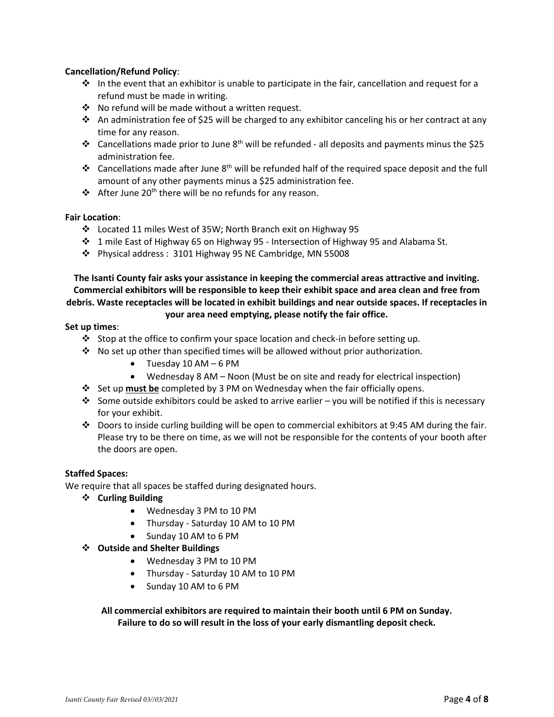#### **Cancellation/Refund Policy**:

- $\dots$  In the event that an exhibitor is unable to participate in the fair, cancellation and request for a refund must be made in writing.
- ❖ No refund will be made without a written request.
- ❖ An administration fee of \$25 will be charged to any exhibitor canceling his or her contract at any time for any reason.
- ❖ Cancellations made prior to June 8th will be refunded all deposits and payments minus the \$25 administration fee.
- ❖ Cancellations made after June 8th will be refunded half of the required space deposit and the full amount of any other payments minus a \$25 administration fee.
- ❖ After June 20<sup>th</sup> there will be no refunds for any reason.

#### **Fair Location**:

- ❖ Located 11 miles West of 35W; North Branch exit on Highway 95
- ❖ 1 mile East of Highway 65 on Highway 95 Intersection of Highway 95 and Alabama St.
- ❖ Physical address : 3101 Highway 95 NE Cambridge, MN 55008

**The Isanti County fair asks your assistance in keeping the commercial areas attractive and inviting. Commercial exhibitors will be responsible to keep their exhibit space and area clean and free from debris. Waste receptacles will be located in exhibit buildings and near outside spaces. If receptacles in your area need emptying, please notify the fair office.**

#### **Set up times**:

- ❖ Stop at the office to confirm your space location and check-in before setting up.
- $\cdot \cdot$  No set up other than specified times will be allowed without prior authorization.
	- Tuesday 10 AM 6 PM
	- Wednesday 8 AM Noon (Must be on site and ready for electrical inspection)
- ❖ Set up **must be** completed by 3 PM on Wednesday when the fair officially opens.
- $\dots$  Some outside exhibitors could be asked to arrive earlier you will be notified if this is necessary for your exhibit.
- ❖ Doors to inside curling building will be open to commercial exhibitors at 9:45 AM during the fair. Please try to be there on time, as we will not be responsible for the contents of your booth after the doors are open.

#### **Staffed Spaces:**

We require that all spaces be staffed during designated hours.

- ❖ **Curling Building**
	- Wednesday 3 PM to 10 PM
	- Thursday Saturday 10 AM to 10 PM
	- Sunday 10 AM to 6 PM

#### ❖ **Outside and Shelter Buildings**

- Wednesday 3 PM to 10 PM
- Thursday Saturday 10 AM to 10 PM
- Sunday 10 AM to 6 PM

**All commercial exhibitors are required to maintain their booth until 6 PM on Sunday. Failure to do so will result in the loss of your early dismantling deposit check.**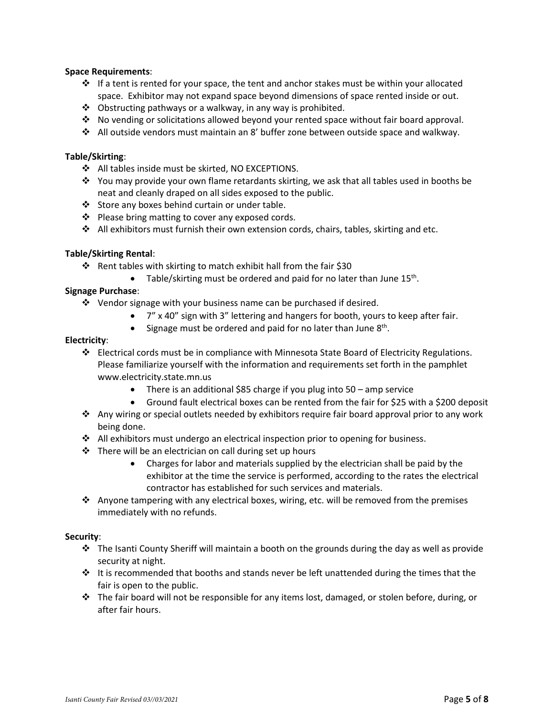#### **Space Requirements**:

- ❖ If a tent is rented for your space, the tent and anchor stakes must be within your allocated space. Exhibitor may not expand space beyond dimensions of space rented inside or out.
- ❖ Obstructing pathways or a walkway, in any way is prohibited.
- ❖ No vending or solicitations allowed beyond your rented space without fair board approval.
- ❖ All outside vendors must maintain an 8' buffer zone between outside space and walkway.

#### **Table/Skirting**:

- ❖ All tables inside must be skirted, NO EXCEPTIONS.
- ❖ You may provide your own flame retardants skirting, we ask that all tables used in booths be neat and cleanly draped on all sides exposed to the public.
- ❖ Store any boxes behind curtain or under table.
- ❖ Please bring matting to cover any exposed cords.
- ❖ All exhibitors must furnish their own extension cords, chairs, tables, skirting and etc.

#### **Table/Skirting Rental**:

- ❖ Rent tables with skirting to match exhibit hall from the fair \$30
	- $\bullet$  Table/skirting must be ordered and paid for no later than June 15<sup>th</sup>.

#### **Signage Purchase**:

- ❖ Vendor signage with your business name can be purchased if desired.
	- 7" x 40" sign with 3" lettering and hangers for booth, yours to keep after fair.
	- Signage must be ordered and paid for no later than June 8<sup>th</sup>.

#### **Electricity**:

- ❖ Electrical cords must be in compliance with Minnesota State Board of Electricity Regulations. Please familiarize yourself with the information and requirements set forth in the pamphlet www.electricity.state.mn.us
	- There is an additional \$85 charge if you plug into 50 amp service
	- Ground fault electrical boxes can be rented from the fair for \$25 with a \$200 deposit
- ❖ Any wiring or special outlets needed by exhibitors require fair board approval prior to any work being done.
- $\triangleleft$  All exhibitors must undergo an electrical inspection prior to opening for business.
- ❖ There will be an electrician on call during set up hours
	- Charges for labor and materials supplied by the electrician shall be paid by the exhibitor at the time the service is performed, according to the rates the electrical contractor has established for such services and materials.
- ❖ Anyone tampering with any electrical boxes, wiring, etc. will be removed from the premises immediately with no refunds.

#### **Security**:

- ❖ The Isanti County Sheriff will maintain a booth on the grounds during the day as well as provide security at night.
- $\div$  It is recommended that booths and stands never be left unattended during the times that the fair is open to the public.
- ❖ The fair board will not be responsible for any items lost, damaged, or stolen before, during, or after fair hours.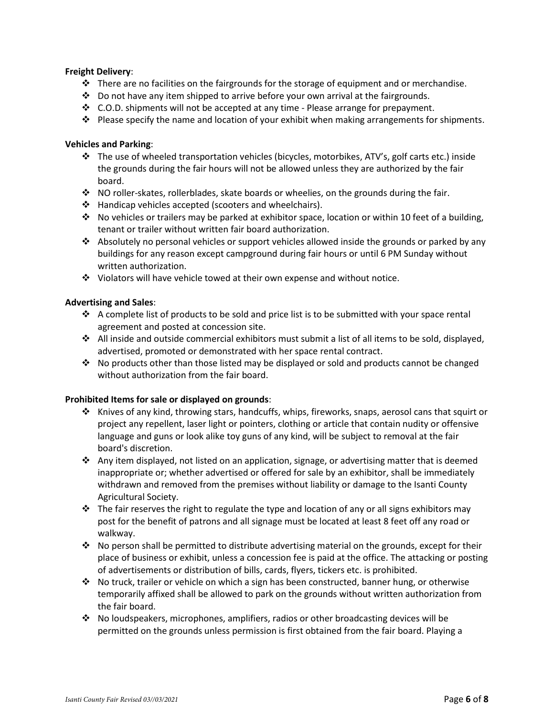#### **Freight Delivery**:

- ❖ There are no facilities on the fairgrounds for the storage of equipment and or merchandise.
- $\cdot \cdot$  Do not have any item shipped to arrive before your own arrival at the fairgrounds.
- ❖ C.O.D. shipments will not be accepted at any time Please arrange for prepayment.
- ❖ Please specify the name and location of your exhibit when making arrangements for shipments.

#### **Vehicles and Parking**:

- ❖ The use of wheeled transportation vehicles (bicycles, motorbikes, ATV's, golf carts etc.) inside the grounds during the fair hours will not be allowed unless they are authorized by the fair board.
- ❖ NO roller-skates, rollerblades, skate boards or wheelies, on the grounds during the fair.
- ❖ Handicap vehicles accepted (scooters and wheelchairs).
- ❖ No vehicles or trailers may be parked at exhibitor space, location or within 10 feet of a building, tenant or trailer without written fair board authorization.
- ❖ Absolutely no personal vehicles or support vehicles allowed inside the grounds or parked by any buildings for any reason except campground during fair hours or until 6 PM Sunday without written authorization.
- ❖ Violators will have vehicle towed at their own expense and without notice.

#### **Advertising and Sales**:

- ❖ A complete list of products to be sold and price list is to be submitted with your space rental agreement and posted at concession site.
- ❖ All inside and outside commercial exhibitors must submit a list of all items to be sold, displayed, advertised, promoted or demonstrated with her space rental contract.
- ❖ No products other than those listed may be displayed or sold and products cannot be changed without authorization from the fair board.

#### **Prohibited Items for sale or displayed on grounds**:

- ❖ Knives of any kind, throwing stars, handcuffs, whips, fireworks, snaps, aerosol cans that squirt or project any repellent, laser light or pointers, clothing or article that contain nudity or offensive language and guns or look alike toy guns of any kind, will be subject to removal at the fair board's discretion.
- ❖ Any item displayed, not listed on an application, signage, or advertising matter that is deemed inappropriate or; whether advertised or offered for sale by an exhibitor, shall be immediately withdrawn and removed from the premises without liability or damage to the Isanti County Agricultural Society.
- ❖ The fair reserves the right to regulate the type and location of any or all signs exhibitors may post for the benefit of patrons and all signage must be located at least 8 feet off any road or walkway.
- ❖ No person shall be permitted to distribute advertising material on the grounds, except for their place of business or exhibit, unless a concession fee is paid at the office. The attacking or posting of advertisements or distribution of bills, cards, flyers, tickers etc. is prohibited.
- ❖ No truck, trailer or vehicle on which a sign has been constructed, banner hung, or otherwise temporarily affixed shall be allowed to park on the grounds without written authorization from the fair board.
- ❖ No loudspeakers, microphones, amplifiers, radios or other broadcasting devices will be permitted on the grounds unless permission is first obtained from the fair board. Playing a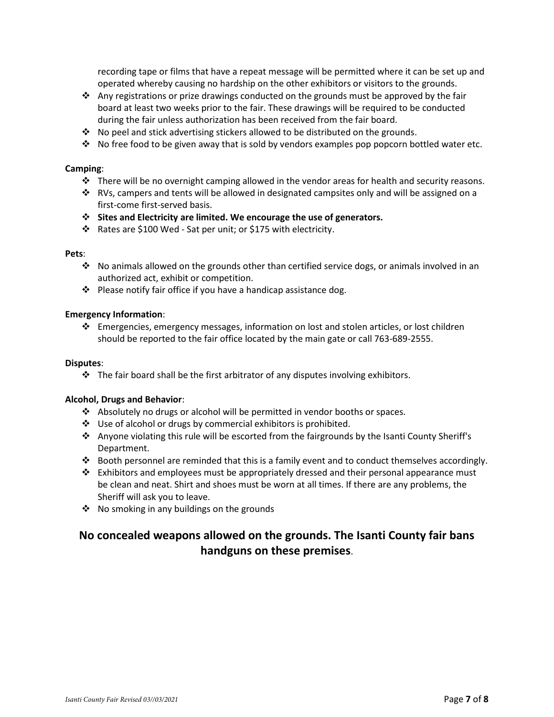recording tape or films that have a repeat message will be permitted where it can be set up and operated whereby causing no hardship on the other exhibitors or visitors to the grounds.

- ❖ Any registrations or prize drawings conducted on the grounds must be approved by the fair board at least two weeks prior to the fair. These drawings will be required to be conducted during the fair unless authorization has been received from the fair board.
- ❖ No peel and stick advertising stickers allowed to be distributed on the grounds.
- ❖ No free food to be given away that is sold by vendors examples pop popcorn bottled water etc.

#### **Camping**:

- ❖ There will be no overnight camping allowed in the vendor areas for health and security reasons.
- ❖ RVs, campers and tents will be allowed in designated campsites only and will be assigned on a first-come first-served basis.
- ❖ **Sites and Electricity are limited. We encourage the use of generators.**
- ❖ Rates are \$100 Wed Sat per unit; or \$175 with electricity.

#### **Pets**:

- ❖ No animals allowed on the grounds other than certified service dogs, or animals involved in an authorized act, exhibit or competition.
- ❖ Please notify fair office if you have a handicap assistance dog.

#### **Emergency Information**:

❖ Emergencies, emergency messages, information on lost and stolen articles, or lost children should be reported to the fair office located by the main gate or call 763-689-2555.

#### **Disputes**:

❖ The fair board shall be the first arbitrator of any disputes involving exhibitors.

#### **Alcohol, Drugs and Behavior**:

- ❖ Absolutely no drugs or alcohol will be permitted in vendor booths or spaces.
- ❖ Use of alcohol or drugs by commercial exhibitors is prohibited.
- ❖ Anyone violating this rule will be escorted from the fairgrounds by the Isanti County Sheriff's Department.
- ❖ Booth personnel are reminded that this is a family event and to conduct themselves accordingly.
- ❖ Exhibitors and employees must be appropriately dressed and their personal appearance must be clean and neat. Shirt and shoes must be worn at all times. If there are any problems, the Sheriff will ask you to leave.
- ❖ No smoking in any buildings on the grounds

# **No concealed weapons allowed on the grounds. The Isanti County fair bans handguns on these premises**.